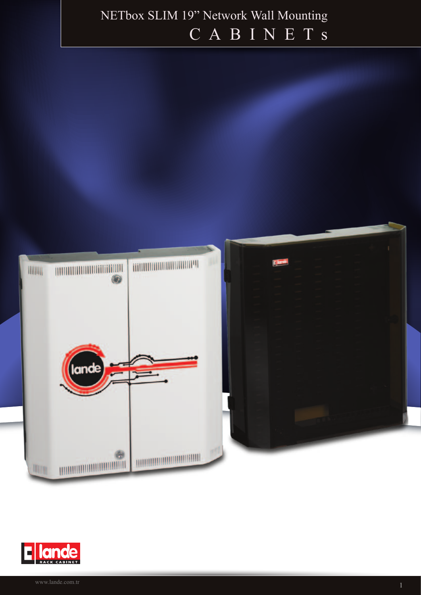## NETbox SLIM 19" Network Wall Mounting CABINETS